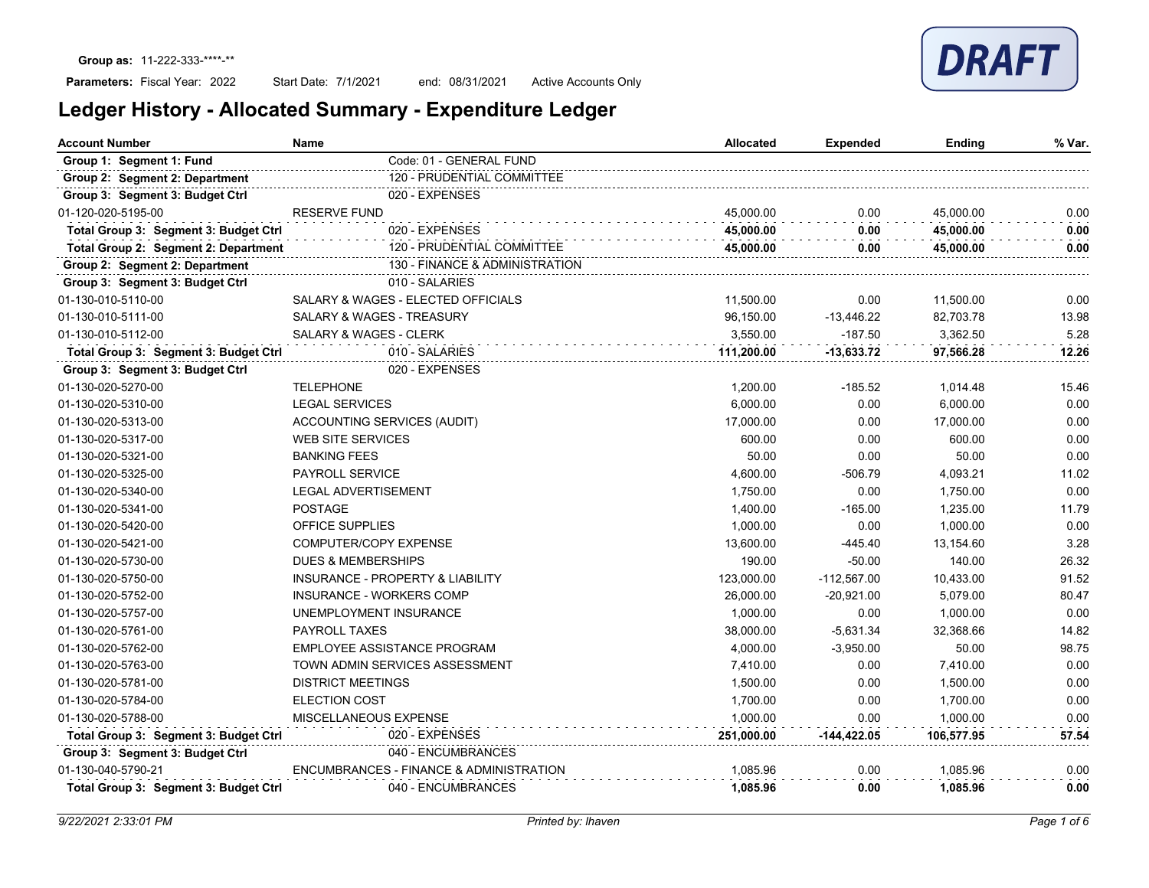Start Date: 7/1/2021 end: 08/31/2021 Active Accounts Only

| <b>Account Number</b>                 | <b>Name</b>                                 | <b>Allocated</b> | <b>Expended</b> | Ending     | % Var. |
|---------------------------------------|---------------------------------------------|------------------|-----------------|------------|--------|
| Group 1: Segment 1: Fund              | Code: 01 - GENERAL FUND                     |                  |                 |            |        |
| Group 2: Segment 2: Department        | 120 - PRUDENTIAL COMMITTEE                  |                  |                 |            |        |
| Group 3: Segment 3: Budget Ctrl       | 020 - EXPENSES                              |                  |                 |            |        |
| 01-120-020-5195-00                    | <b>RESERVE FUND</b>                         | 45,000.00        | 0.00            | 45,000.00  | 0.00   |
| Total Group 3: Segment 3: Budget Ctrl | 020 - EXPENSES                              | 45,000.00        | 0.00            | 45,000.00  | 0.00   |
| Total Group 2: Segment 2: Department  | 120 - PRUDENTIAL COMMITTEE                  | 45,000.00        | 0.00            | 45,000.00  | 0.00   |
| Group 2: Segment 2: Department        | 130 - FINANCE & ADMINISTRATION              |                  |                 |            |        |
| Group 3: Segment 3: Budget Ctrl       | 010 - SALARIES                              |                  |                 |            |        |
| 01-130-010-5110-00                    | SALARY & WAGES - ELECTED OFFICIALS          | 11,500.00        | 0.00            | 11,500.00  | 0.00   |
| 01-130-010-5111-00                    | SALARY & WAGES - TREASURY                   | 96,150.00        | $-13,446.22$    | 82,703.78  | 13.98  |
| 01-130-010-5112-00                    | SALARY & WAGES - CLERK                      | 3,550.00         | $-187.50$       | 3,362.50   | 5.28   |
| Total Group 3: Segment 3: Budget Ctrl | 010 - SALARIES                              | 111,200.00       | $-13,633.72$    | 97,566.28  | 12.26  |
| Group 3: Segment 3: Budget Ctrl       | 020 - EXPENSES                              |                  |                 |            |        |
| 01-130-020-5270-00                    | <b>TELEPHONE</b>                            | 1.200.00         | $-185.52$       | 1,014.48   | 15.46  |
| 01-130-020-5310-00                    | <b>LEGAL SERVICES</b>                       | 6,000.00         | 0.00            | 6,000.00   | 0.00   |
| 01-130-020-5313-00                    | ACCOUNTING SERVICES (AUDIT)                 | 17,000.00        | 0.00            | 17,000.00  | 0.00   |
| 01-130-020-5317-00                    | <b>WEB SITE SERVICES</b>                    | 600.00           | 0.00            | 600.00     | 0.00   |
| 01-130-020-5321-00                    | <b>BANKING FEES</b>                         | 50.00            | 0.00            | 50.00      | 0.00   |
| 01-130-020-5325-00                    | <b>PAYROLL SERVICE</b>                      | 4,600.00         | $-506.79$       | 4,093.21   | 11.02  |
| 01-130-020-5340-00                    | <b>LEGAL ADVERTISEMENT</b>                  | 1,750.00         | 0.00            | 1,750.00   | 0.00   |
| 01-130-020-5341-00                    | <b>POSTAGE</b>                              | 1,400.00         | $-165.00$       | 1,235.00   | 11.79  |
| 01-130-020-5420-00                    | OFFICE SUPPLIES                             | 1,000.00         | 0.00            | 1,000.00   | 0.00   |
| 01-130-020-5421-00                    | COMPUTER/COPY EXPENSE                       | 13,600.00        | $-445.40$       | 13,154.60  | 3.28   |
| 01-130-020-5730-00                    | <b>DUES &amp; MEMBERSHIPS</b>               | 190.00           | $-50.00$        | 140.00     | 26.32  |
| 01-130-020-5750-00                    | <b>INSURANCE - PROPERTY &amp; LIABILITY</b> | 123,000.00       | $-112,567.00$   | 10,433.00  | 91.52  |
| 01-130-020-5752-00                    | <b>INSURANCE - WORKERS COMP</b>             | 26,000.00        | $-20,921.00$    | 5,079.00   | 80.47  |
| 01-130-020-5757-00                    | UNEMPLOYMENT INSURANCE                      | 1,000.00         | 0.00            | 1,000.00   | 0.00   |
| 01-130-020-5761-00                    | <b>PAYROLL TAXES</b>                        | 38,000.00        | $-5,631.34$     | 32,368.66  | 14.82  |
| 01-130-020-5762-00                    | EMPLOYEE ASSISTANCE PROGRAM                 | 4,000.00         | $-3,950.00$     | 50.00      | 98.75  |
| 01-130-020-5763-00                    | TOWN ADMIN SERVICES ASSESSMENT              | 7,410.00         | 0.00            | 7,410.00   | 0.00   |
| 01-130-020-5781-00                    | <b>DISTRICT MEETINGS</b>                    | 1,500.00         | 0.00            | 1,500.00   | 0.00   |
| 01-130-020-5784-00                    | <b>ELECTION COST</b>                        | 1,700.00         | 0.00            | 1,700.00   | 0.00   |
| 01-130-020-5788-00                    | MISCELLANEOUS EXPENSE                       | 1,000.00         | 0.00            | 1,000.00   | 0.00   |
| Total Group 3: Segment 3: Budget Ctrl | 020 - EXPENSES                              | 251,000.00       | -144,422.05     | 106,577.95 | 57.54  |
| Group 3: Segment 3: Budget Ctrl       | 040 - ENCUMBRANCES                          |                  |                 |            |        |
| 01-130-040-5790-21                    | ENCUMBRANCES - FINANCE & ADMINISTRATION     | 1.085.96         | 0.00            | 1,085.96   | 0.00   |
| Total Group 3: Segment 3: Budget Ctrl | 040 - ENCUMBRANCES                          | 1.085.96         | 0.00            | 1.085.96   | 0.00   |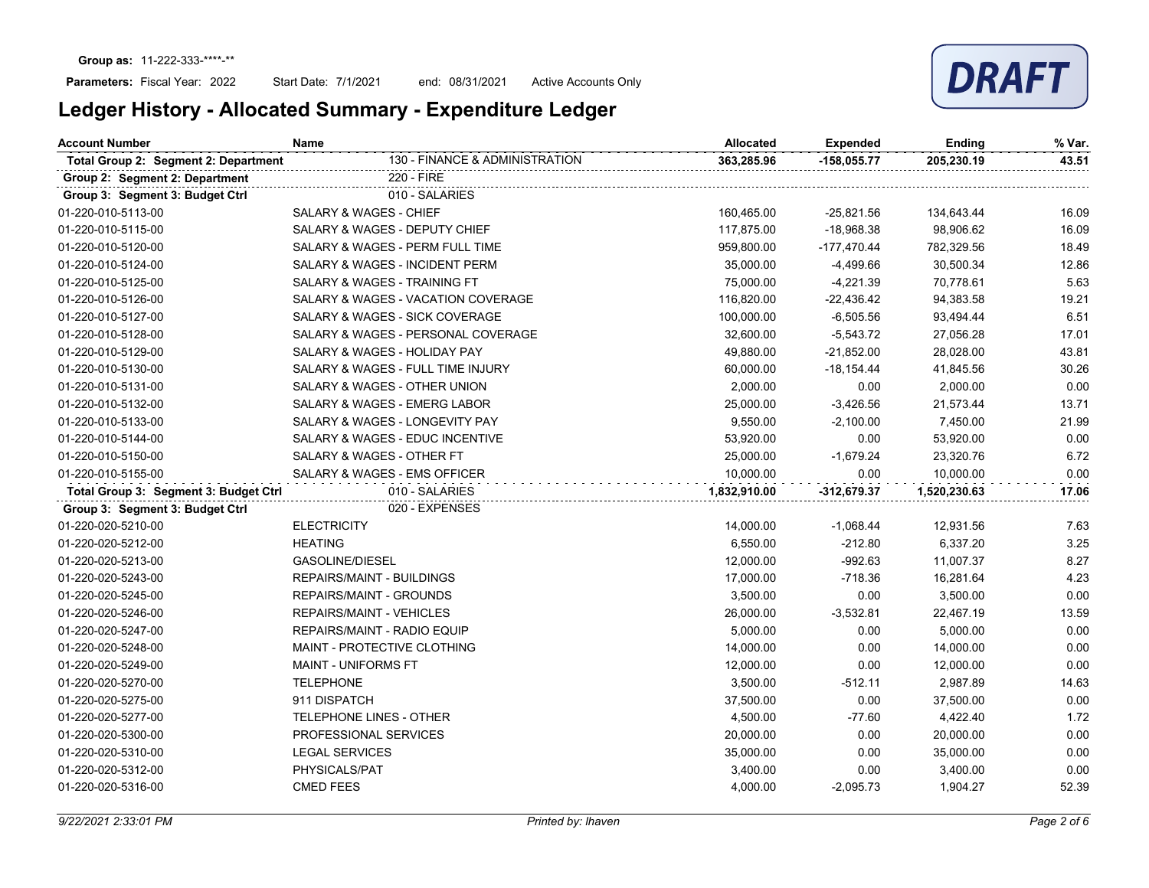Start Date: 7/1/2021 end: 08/31/2021 Active Accounts Only

| <b>Account Number</b>                 | <b>Name</b>                               | <b>Allocated</b> | <b>Expended</b> | Ending       | % Var. |
|---------------------------------------|-------------------------------------------|------------------|-----------------|--------------|--------|
| Total Group 2: Segment 2: Department  | 130 - FINANCE & ADMINISTRATION            | 363,285.96       | $-158,055.77$   | 205,230.19   | 43.51  |
| Group 2: Segment 2: Department        | 220 - FIRE                                |                  |                 |              |        |
| Group 3: Segment 3: Budget Ctrl       | 010 - SALARIES                            |                  |                 |              |        |
| 01-220-010-5113-00                    | <b>SALARY &amp; WAGES - CHIEF</b>         | 160,465.00       | $-25,821.56$    | 134,643.44   | 16.09  |
| 01-220-010-5115-00                    | SALARY & WAGES - DEPUTY CHIEF             | 117,875.00       | $-18,968.38$    | 98,906.62    | 16.09  |
| 01-220-010-5120-00                    | SALARY & WAGES - PERM FULL TIME           | 959,800.00       | $-177,470.44$   | 782,329.56   | 18.49  |
| 01-220-010-5124-00                    | <b>SALARY &amp; WAGES - INCIDENT PERM</b> | 35,000.00        | $-4,499.66$     | 30,500.34    | 12.86  |
| 01-220-010-5125-00                    | SALARY & WAGES - TRAINING FT              | 75,000.00        | -4,221.39       | 70,778.61    | 5.63   |
| 01-220-010-5126-00                    | SALARY & WAGES - VACATION COVERAGE        | 116,820.00       | $-22,436.42$    | 94,383.58    | 19.21  |
| 01-220-010-5127-00                    | SALARY & WAGES - SICK COVERAGE            | 100,000.00       | $-6,505.56$     | 93,494.44    | 6.51   |
| 01-220-010-5128-00                    | SALARY & WAGES - PERSONAL COVERAGE        | 32,600.00        | $-5,543.72$     | 27,056.28    | 17.01  |
| 01-220-010-5129-00                    | SALARY & WAGES - HOLIDAY PAY              | 49,880.00        | $-21,852.00$    | 28,028.00    | 43.81  |
| 01-220-010-5130-00                    | SALARY & WAGES - FULL TIME INJURY         | 60,000.00        | $-18,154.44$    | 41,845.56    | 30.26  |
| 01-220-010-5131-00                    | SALARY & WAGES - OTHER UNION              | 2,000.00         | 0.00            | 2,000.00     | 0.00   |
| 01-220-010-5132-00                    | SALARY & WAGES - EMERG LABOR              | 25,000.00        | $-3,426.56$     | 21,573.44    | 13.71  |
| 01-220-010-5133-00                    | SALARY & WAGES - LONGEVITY PAY            | 9,550.00         | $-2,100.00$     | 7,450.00     | 21.99  |
| 01-220-010-5144-00                    | SALARY & WAGES - EDUC INCENTIVE           | 53,920.00        | 0.00            | 53,920.00    | 0.00   |
| 01-220-010-5150-00                    | SALARY & WAGES - OTHER FT                 | 25,000.00        | $-1,679.24$     | 23,320.76    | 6.72   |
| 01-220-010-5155-00                    | SALARY & WAGES - EMS OFFICER              | 10,000.00        | 0.00            | 10,000.00    | 0.00   |
| Total Group 3: Segment 3: Budget Ctrl | 010 - SALARIES                            | 1,832,910.00     | $-312,679.37$   | 1,520,230.63 | 17.06  |
| Group 3: Segment 3: Budget Ctrl       | 020 - EXPENSES                            |                  |                 |              |        |
| 01-220-020-5210-00                    | <b>ELECTRICITY</b>                        | 14,000.00        | $-1,068.44$     | 12,931.56    | 7.63   |
| 01-220-020-5212-00                    | <b>HEATING</b>                            | 6,550.00         | $-212.80$       | 6,337.20     | 3.25   |
| 01-220-020-5213-00                    | <b>GASOLINE/DIESEL</b>                    | 12,000.00        | $-992.63$       | 11,007.37    | 8.27   |
| 01-220-020-5243-00                    | <b>REPAIRS/MAINT - BUILDINGS</b>          | 17,000.00        | $-718.36$       | 16,281.64    | 4.23   |
| 01-220-020-5245-00                    | <b>REPAIRS/MAINT - GROUNDS</b>            | 3,500.00         | 0.00            | 3,500.00     | 0.00   |
| 01-220-020-5246-00                    | <b>REPAIRS/MAINT - VEHICLES</b>           | 26,000.00        | $-3,532.81$     | 22,467.19    | 13.59  |
| 01-220-020-5247-00                    | REPAIRS/MAINT - RADIO EQUIP               | 5,000.00         | 0.00            | 5,000.00     | 0.00   |
| 01-220-020-5248-00                    | MAINT - PROTECTIVE CLOTHING               | 14,000.00        | 0.00            | 14,000.00    | 0.00   |
| 01-220-020-5249-00                    | MAINT - UNIFORMS FT                       | 12,000.00        | 0.00            | 12,000.00    | 0.00   |
| 01-220-020-5270-00                    | <b>TELEPHONE</b>                          | 3,500.00         | $-512.11$       | 2,987.89     | 14.63  |
| 01-220-020-5275-00                    | 911 DISPATCH                              | 37,500.00        | 0.00            | 37,500.00    | 0.00   |
| 01-220-020-5277-00                    | <b>TELEPHONE LINES - OTHER</b>            | 4,500.00         | $-77.60$        | 4,422.40     | 1.72   |
| 01-220-020-5300-00                    | PROFESSIONAL SERVICES                     | 20,000.00        | 0.00            | 20,000.00    | 0.00   |
| 01-220-020-5310-00                    | <b>LEGAL SERVICES</b>                     | 35,000.00        | 0.00            | 35,000.00    | 0.00   |
| 01-220-020-5312-00                    | PHYSICALS/PAT                             | 3,400.00         | 0.00            | 3,400.00     | 0.00   |
| 01-220-020-5316-00                    | <b>CMED FEES</b>                          | 4,000.00         | $-2,095.73$     | 1,904.27     | 52.39  |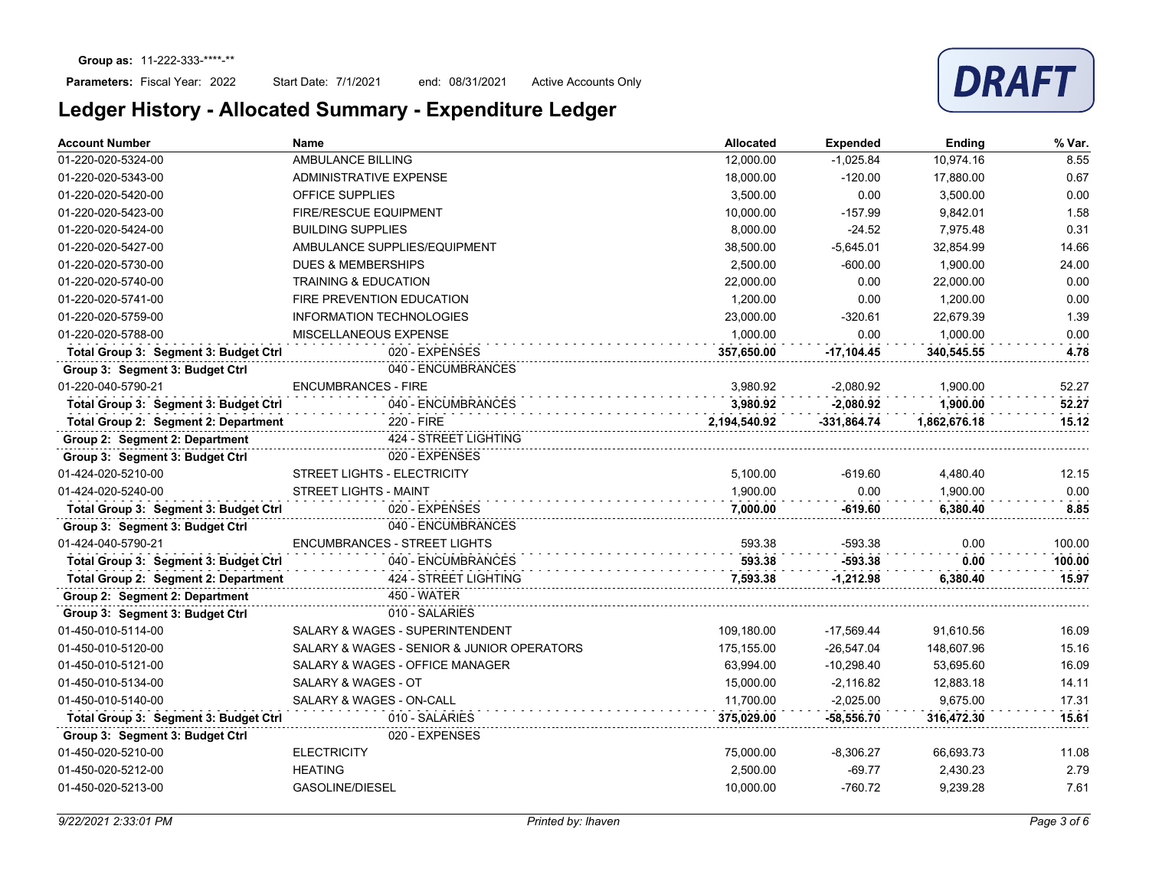Start Date: 7/1/2021 end: 08/31/2021 Active Accounts Only



| <b>Account Number</b>                 | <b>Name</b>                                | <b>Allocated</b> | <b>Expended</b> | Ending       | % Var. |
|---------------------------------------|--------------------------------------------|------------------|-----------------|--------------|--------|
| 01-220-020-5324-00                    | AMBULANCE BILLING                          | 12,000.00        | $-1,025.84$     | 10,974.16    | 8.55   |
| 01-220-020-5343-00                    | ADMINISTRATIVE EXPENSE                     | 18,000.00        | $-120.00$       | 17,880.00    | 0.67   |
| 01-220-020-5420-00                    | <b>OFFICE SUPPLIES</b>                     | 3,500.00         | 0.00            | 3,500.00     | 0.00   |
| 01-220-020-5423-00                    | <b>FIRE/RESCUE EQUIPMENT</b>               | 10,000.00        | $-157.99$       | 9,842.01     | 1.58   |
| 01-220-020-5424-00                    | <b>BUILDING SUPPLIES</b>                   | 8,000.00         | $-24.52$        | 7,975.48     | 0.31   |
| 01-220-020-5427-00                    | AMBULANCE SUPPLIES/EQUIPMENT               | 38,500.00        | $-5,645.01$     | 32,854.99    | 14.66  |
| 01-220-020-5730-00                    | <b>DUES &amp; MEMBERSHIPS</b>              | 2,500.00         | $-600.00$       | 1.900.00     | 24.00  |
| 01-220-020-5740-00                    | <b>TRAINING &amp; EDUCATION</b>            | 22,000.00        | 0.00            | 22,000.00    | 0.00   |
| 01-220-020-5741-00                    | FIRE PREVENTION EDUCATION                  | 1.200.00         | 0.00            | 1.200.00     | 0.00   |
| 01-220-020-5759-00                    | <b>INFORMATION TECHNOLOGIES</b>            | 23,000.00        | $-320.61$       | 22.679.39    | 1.39   |
| 01-220-020-5788-00                    | MISCELLANEOUS EXPENSE                      | 1,000.00         | 0.00            | 1.000.00     | 0.00   |
| Total Group 3: Segment 3: Budget Ctrl | 020 - EXPENSES                             | 357,650.00       | $-17,104.45$    | 340,545.55   | 4.78   |
| Group 3: Segment 3: Budget Ctrl       | 040 - ENCUMBRANCES                         |                  |                 |              |        |
| 01-220-040-5790-21                    | <b>ENCUMBRANCES - FIRE</b>                 | 3.980.92         | $-2,080.92$     | 1,900.00     | 52.27  |
| Total Group 3: Segment 3: Budget Ctrl | 040 - ENCUMBRANCES                         | 3,980.92         | $-2,080.92$     | 1,900.00     | 52.27  |
| Total Group 2: Segment 2: Department  | 220 - FIRE                                 | 2,194,540.92     | $-331,864.74$   | 1,862,676.18 | 15.12  |
| Group 2: Segment 2: Department        | 424 - STREET LIGHTING                      |                  |                 |              |        |
| Group 3: Segment 3: Budget Ctrl       | 020 - EXPENSES                             |                  |                 |              |        |
| 01-424-020-5210-00                    | <b>STREET LIGHTS - ELECTRICITY</b>         | 5.100.00         | $-619.60$       | 4,480.40     | 12.15  |
| 01-424-020-5240-00                    | <b>STREET LIGHTS - MAINT</b>               | 1,900.00         | 0.00            | 1,900.00     | 0.00   |
| Total Group 3: Segment 3: Budget Ctrl | 020 - EXPENSES                             | 7,000.00         | $-619.60$       | 6,380.40     | 8.85   |
| Group 3: Segment 3: Budget Ctrl       | 040 - ENCUMBRANCES                         |                  |                 |              |        |
| 01-424-040-5790-21                    | <b>ENCUMBRANCES - STREET LIGHTS</b>        | 593.38           | $-593.38$       | 0.00         | 100.00 |
| Total Group 3: Segment 3: Budget Ctrl | 040 - ENCUMBRANCES                         | 593.38           | $-593.38$       | 0.00         | 100.00 |
| Total Group 2: Segment 2: Department  | 424 - STREET LIGHTING                      | 7,593.38         | $-1,212.98$     | 6,380.40     | 15.97  |
| Group 2: Segment 2: Department        | <b>450 - WATER</b>                         |                  |                 |              |        |
| Group 3: Segment 3: Budget Ctrl       | 010 - SALARIES                             |                  |                 |              |        |
| 01-450-010-5114-00                    | SALARY & WAGES - SUPERINTENDENT            | 109,180.00       | $-17,569.44$    | 91,610.56    | 16.09  |
| 01-450-010-5120-00                    | SALARY & WAGES - SENIOR & JUNIOR OPERATORS | 175,155.00       | $-26,547.04$    | 148,607.96   | 15.16  |
| 01-450-010-5121-00                    | SALARY & WAGES - OFFICE MANAGER            | 63,994.00        | $-10,298.40$    | 53,695.60    | 16.09  |
| 01-450-010-5134-00                    | SALARY & WAGES - OT                        | 15,000.00        | $-2,116.82$     | 12,883.18    | 14.11  |
| 01-450-010-5140-00                    | SALARY & WAGES - ON-CALL                   | 11,700.00        | $-2,025.00$     | 9,675.00     | 17.31  |
| Total Group 3: Segment 3: Budget Ctrl | 010 - SALARIES                             | 375,029.00       | -58,556.70      | 316,472.30   | 15.61  |
| Group 3: Segment 3: Budget Ctrl       | 020 - EXPENSES                             |                  |                 |              |        |
| 01-450-020-5210-00                    | <b>ELECTRICITY</b>                         | 75,000.00        | $-8,306.27$     | 66,693.73    | 11.08  |
| 01-450-020-5212-00                    | <b>HEATING</b>                             | 2,500.00         | $-69.77$        | 2,430.23     | 2.79   |
| 01-450-020-5213-00                    | <b>GASOLINE/DIESEL</b>                     | 10,000.00        | $-760.72$       | 9,239.28     | 7.61   |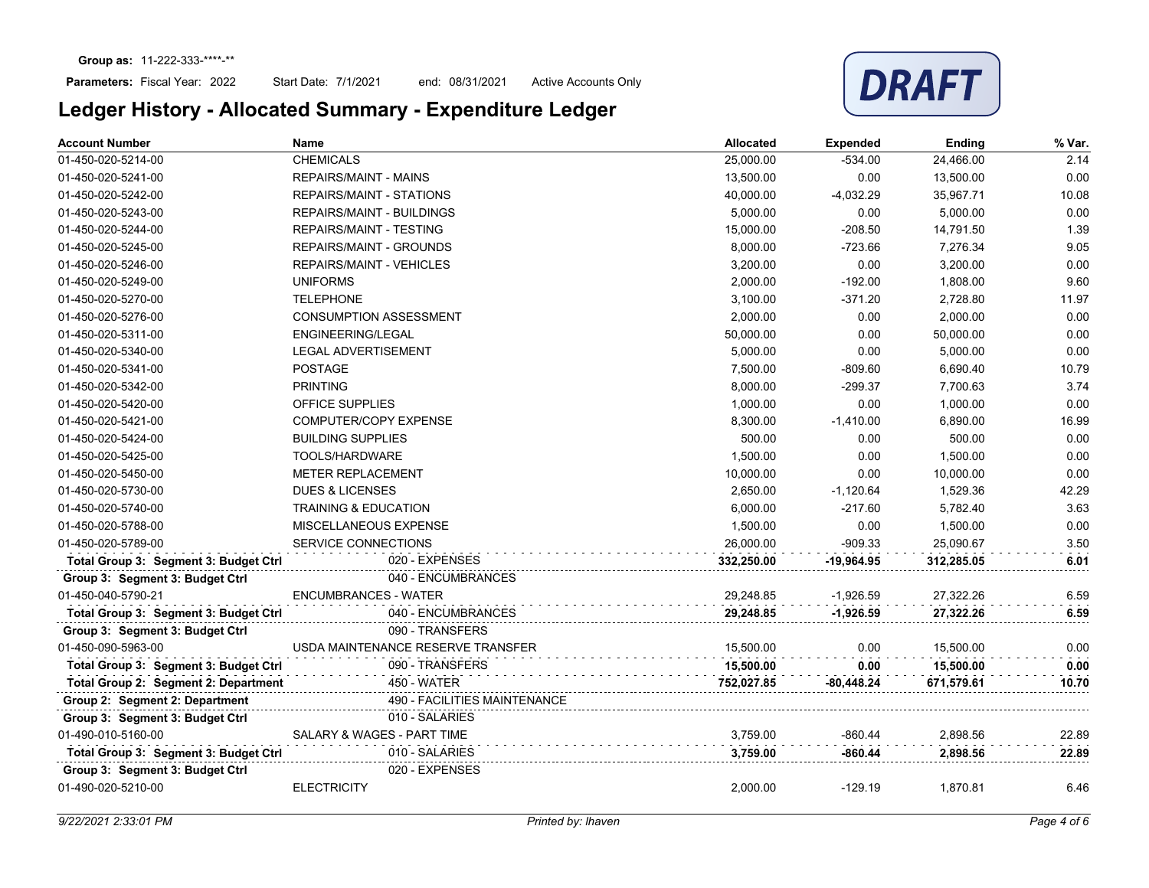Start Date: 7/1/2021 end: 08/31/2021 Active Accounts Only



| <b>Account Number</b>                 | <b>Name</b>                       | Allocated  | <b>Expended</b> | Ending     | % Var. |
|---------------------------------------|-----------------------------------|------------|-----------------|------------|--------|
| 01-450-020-5214-00                    | <b>CHEMICALS</b>                  | 25,000.00  | $-534.00$       | 24,466.00  | 2.14   |
| 01-450-020-5241-00                    | <b>REPAIRS/MAINT - MAINS</b>      | 13,500.00  | 0.00            | 13,500.00  | 0.00   |
| 01-450-020-5242-00                    | <b>REPAIRS/MAINT - STATIONS</b>   | 40,000.00  | $-4,032.29$     | 35,967.71  | 10.08  |
| 01-450-020-5243-00                    | <b>REPAIRS/MAINT - BUILDINGS</b>  | 5,000.00   | 0.00            | 5,000.00   | 0.00   |
| 01-450-020-5244-00                    | <b>REPAIRS/MAINT - TESTING</b>    | 15,000.00  | $-208.50$       | 14,791.50  | 1.39   |
| 01-450-020-5245-00                    | <b>REPAIRS/MAINT - GROUNDS</b>    | 8,000.00   | $-723.66$       | 7,276.34   | 9.05   |
| 01-450-020-5246-00                    | <b>REPAIRS/MAINT - VEHICLES</b>   | 3,200.00   | 0.00            | 3,200.00   | 0.00   |
| 01-450-020-5249-00                    | <b>UNIFORMS</b>                   | 2,000.00   | $-192.00$       | 1,808.00   | 9.60   |
| 01-450-020-5270-00                    | <b>TELEPHONE</b>                  | 3,100.00   | $-371.20$       | 2.728.80   | 11.97  |
| 01-450-020-5276-00                    | <b>CONSUMPTION ASSESSMENT</b>     | 2,000.00   | 0.00            | 2,000.00   | 0.00   |
| 01-450-020-5311-00                    | <b>ENGINEERING/LEGAL</b>          | 50,000.00  | 0.00            | 50,000.00  | 0.00   |
| 01-450-020-5340-00                    | <b>LEGAL ADVERTISEMENT</b>        | 5,000.00   | 0.00            | 5,000.00   | 0.00   |
| 01-450-020-5341-00                    | <b>POSTAGE</b>                    | 7,500.00   | $-809.60$       | 6,690.40   | 10.79  |
| 01-450-020-5342-00                    | <b>PRINTING</b>                   | 8,000.00   | $-299.37$       | 7,700.63   | 3.74   |
| 01-450-020-5420-00                    | <b>OFFICE SUPPLIES</b>            | 1,000.00   | 0.00            | 1,000.00   | 0.00   |
| 01-450-020-5421-00                    | COMPUTER/COPY EXPENSE             | 8,300.00   | $-1,410.00$     | 6,890.00   | 16.99  |
| 01-450-020-5424-00                    | <b>BUILDING SUPPLIES</b>          | 500.00     | 0.00            | 500.00     | 0.00   |
| 01-450-020-5425-00                    | TOOLS/HARDWARE                    | 1,500.00   | 0.00            | 1,500.00   | 0.00   |
| 01-450-020-5450-00                    | <b>METER REPLACEMENT</b>          | 10,000.00  | 0.00            | 10,000.00  | 0.00   |
| 01-450-020-5730-00                    | <b>DUES &amp; LICENSES</b>        | 2,650.00   | $-1,120.64$     | 1,529.36   | 42.29  |
| 01-450-020-5740-00                    | <b>TRAINING &amp; EDUCATION</b>   | 6,000.00   | $-217.60$       | 5,782.40   | 3.63   |
| 01-450-020-5788-00                    | MISCELLANEOUS EXPENSE             | 1,500.00   | 0.00            | 1,500.00   | 0.00   |
| 01-450-020-5789-00                    | SERVICE CONNECTIONS               | 26,000.00  | $-909.33$       | 25,090.67  | 3.50   |
| Total Group 3: Segment 3: Budget Ctrl | 020 - EXPENSES                    | 332,250.00 | $-19,964.95$    | 312,285.05 | 6.01   |
| Group 3: Segment 3: Budget Ctrl       | 040 - ENCUMBRANCES                |            |                 |            |        |
| 01-450-040-5790-21                    | <b>ENCUMBRANCES - WATER</b>       | 29,248.85  | $-1,926.59$     | 27,322.26  | 6.59   |
| Total Group 3: Segment 3: Budget Ctrl | 040 - ENCUMBRANCES                | 29,248.85  | $-1,926.59$     | 27,322.26  | 6.59   |
| Group 3: Segment 3: Budget Ctrl       | 090 - TRANSFERS                   |            |                 |            |        |
| 01-450-090-5963-00                    | USDA MAINTENANCE RESERVE TRANSFER | 15,500.00  | 0.00            | 15,500.00  | 0.00   |
| Total Group 3: Segment 3: Budget Ctrl | 090 - TRANSFERS                   | 15,500.00  | 0.00            | 15,500.00  | 0.00   |
| Total Group 2: Segment 2: Department  | 450 - WATER                       | 752,027.85 | -80,448.24      | 671,579.61 | 10.70  |
| Group 2: Segment 2: Department        | 490 - FACILITIES MAINTENANCE      |            |                 |            |        |
| Group 3: Segment 3: Budget Ctrl       | 010 - SALARIES                    |            |                 |            |        |
| 01-490-010-5160-00                    | SALARY & WAGES - PART TIME        | 3,759.00   | $-860.44$       | 2,898.56   | 22.89  |
| Total Group 3: Segment 3: Budget Ctrl | 010 - SALARIES                    | 3,759.00   | $-860.44$       | 2,898.56   | 22.89  |
| Group 3: Segment 3: Budget Ctrl       | 020 - EXPENSES                    |            |                 |            |        |
| 01-490-020-5210-00                    | <b>ELECTRICITY</b>                | 2,000.00   | -129.19         | 1,870.81   | 6.46   |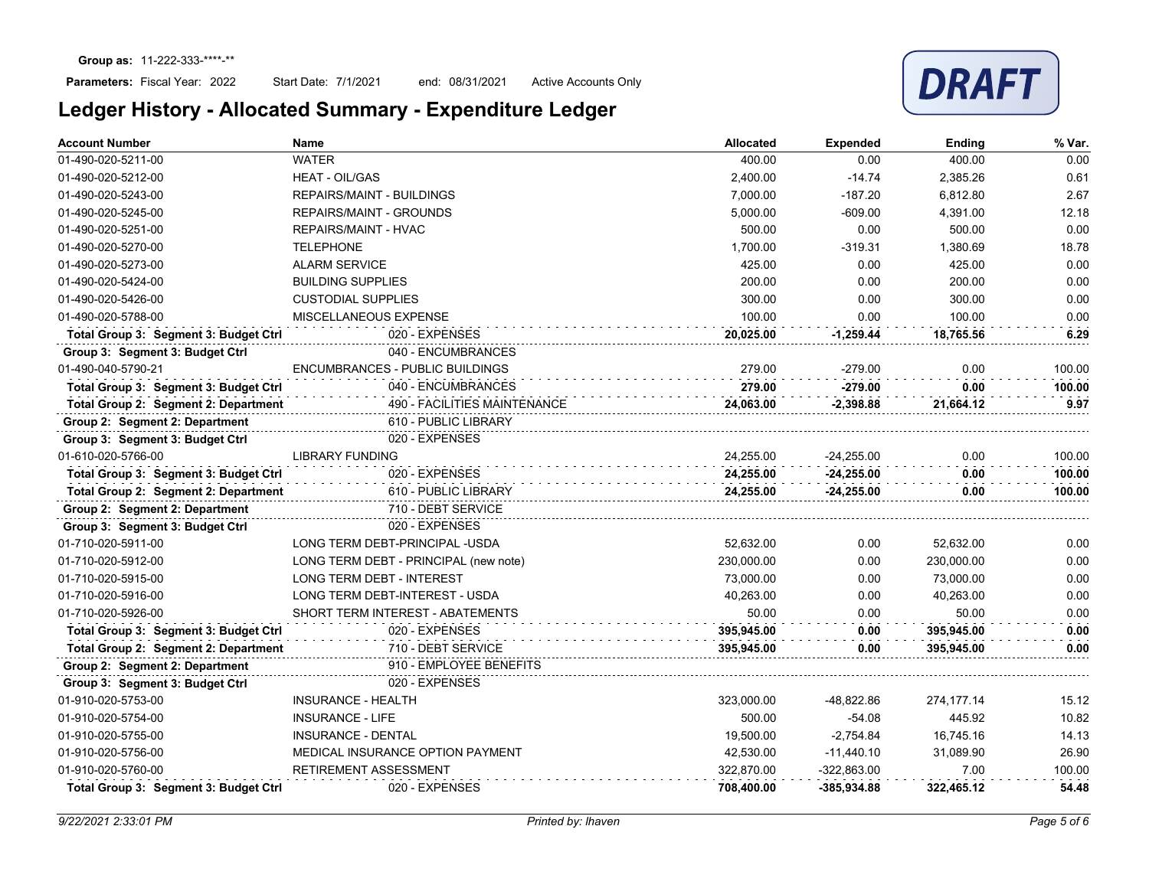Start Date: 7/1/2021 end: 08/31/2021 Active Accounts Only



| <b>Account Number</b>                 | <b>Name</b>                            | <b>Allocated</b> | <b>Expended</b> | Ending     | % Var. |
|---------------------------------------|----------------------------------------|------------------|-----------------|------------|--------|
| 01-490-020-5211-00                    | <b>WATER</b>                           | 400.00           | 0.00            | 400.00     | 0.00   |
| 01-490-020-5212-00                    | <b>HEAT - OIL/GAS</b>                  | 2.400.00         | $-14.74$        | 2.385.26   | 0.61   |
| 01-490-020-5243-00                    | <b>REPAIRS/MAINT - BUILDINGS</b>       | 7,000.00         | $-187.20$       | 6,812.80   | 2.67   |
| 01-490-020-5245-00                    | <b>REPAIRS/MAINT - GROUNDS</b>         | 5,000.00         | $-609.00$       | 4,391.00   | 12.18  |
| 01-490-020-5251-00                    | <b>REPAIRS/MAINT - HVAC</b>            | 500.00           | 0.00            | 500.00     | 0.00   |
| 01-490-020-5270-00                    | <b>TELEPHONE</b>                       | 1.700.00         | $-319.31$       | 1.380.69   | 18.78  |
| 01-490-020-5273-00                    | <b>ALARM SERVICE</b>                   | 425.00           | 0.00            | 425.00     | 0.00   |
| 01-490-020-5424-00                    | <b>BUILDING SUPPLIES</b>               | 200.00           | 0.00            | 200.00     | 0.00   |
| 01-490-020-5426-00                    | <b>CUSTODIAL SUPPLIES</b>              | 300.00           | 0.00            | 300.00     | 0.00   |
| 01-490-020-5788-00                    | MISCELLANEOUS EXPENSE                  | 100.00           | 0.00            | 100.00     | 0.00   |
| Total Group 3: Segment 3: Budget Ctrl | 020 - EXPENSES                         | 20,025.00        | $-1,259.44$     | 18,765.56  | 6.29   |
| Group 3: Segment 3: Budget Ctrl       | 040 - ENCUMBRANCES                     |                  |                 |            |        |
| 01-490-040-5790-21                    | <b>ENCUMBRANCES - PUBLIC BUILDINGS</b> | 279.00           | $-279.00$       | 0.00       | 100.00 |
| Total Group 3: Segment 3: Budget Ctrl | 040 - ENCUMBRANCES                     | 279.00           | $-279.00$       | 0.00       | 100.00 |
| Total Group 2: Segment 2: Department  | 490 - FACILITIES MAINTENANCE           | 24,063.00        | $-2,398.88$     | 21,664.12  | 9.97   |
| Group 2: Segment 2: Department        | 610 - PUBLIC LIBRARY                   |                  |                 |            |        |
| Group 3: Segment 3: Budget Ctrl       | 020 - EXPENSES                         |                  |                 |            |        |
| 01-610-020-5766-00                    | <b>LIBRARY FUNDING</b>                 | 24.255.00        | $-24,255.00$    | 0.00       | 100.00 |
| Total Group 3: Segment 3: Budget Ctrl | 020 - EXPENSES                         | 24,255.00        | $-24,255.00$    | 0.00       | 100.00 |
| Total Group 2: Segment 2: Department  | 610 - PUBLIC LIBRARY                   | 24,255.00        | $-24,255.00$    | 0.00       | 100.00 |
| Group 2: Segment 2: Department        | 710 - DEBT SERVICE                     |                  |                 |            |        |
| Group 3: Segment 3: Budget Ctrl       | 020 - EXPENSES                         |                  |                 |            |        |
| 01-710-020-5911-00                    | LONG TERM DEBT-PRINCIPAL -USDA         | 52,632.00        | 0.00            | 52,632.00  | 0.00   |
| 01-710-020-5912-00                    | LONG TERM DEBT - PRINCIPAL (new note)  | 230,000.00       | 0.00            | 230,000.00 | 0.00   |
| 01-710-020-5915-00                    | <b>LONG TERM DEBT - INTEREST</b>       | 73.000.00        | 0.00            | 73,000.00  | 0.00   |
| 01-710-020-5916-00                    | LONG TERM DEBT-INTEREST - USDA         | 40,263.00        | 0.00            | 40,263.00  | 0.00   |
| 01-710-020-5926-00                    | SHORT TERM INTEREST - ABATEMENTS       | 50.00            | 0.00            | 50.00      | 0.00   |
| Total Group 3: Segment 3: Budget Ctrl | 020 - EXPENSES                         | 395,945.00       | 0.00            | 395,945.00 | 0.00   |
| Total Group 2: Segment 2: Department  | 710 - DEBT SERVICE                     | 395,945.00       | 0.00            | 395,945.00 | 0.00   |
| Group 2: Segment 2: Department        | 910 - EMPLOYEE BENEFITS                |                  |                 |            |        |
| Group 3: Segment 3: Budget Ctrl       | 020 - EXPENSES                         |                  |                 |            |        |
| 01-910-020-5753-00                    | <b>INSURANCE - HEALTH</b>              | 323,000.00       | -48,822.86      | 274,177.14 | 15.12  |
| 01-910-020-5754-00                    | <b>INSURANCE - LIFE</b>                | 500.00           | $-54.08$        | 445.92     | 10.82  |
| 01-910-020-5755-00                    | INSURANCE - DENTAL                     | 19,500.00        | $-2,754.84$     | 16,745.16  | 14.13  |
| 01-910-020-5756-00                    | MEDICAL INSURANCE OPTION PAYMENT       | 42,530.00        | $-11,440.10$    | 31,089.90  | 26.90  |
| 01-910-020-5760-00                    | RETIREMENT ASSESSMENT                  | 322,870.00       | $-322,863.00$   | 7.00       | 100.00 |
| Total Group 3: Segment 3: Budget Ctrl | 020 - EXPENSES                         | 708.400.00       | $-385.934.88$   | 322.465.12 | 54.48  |